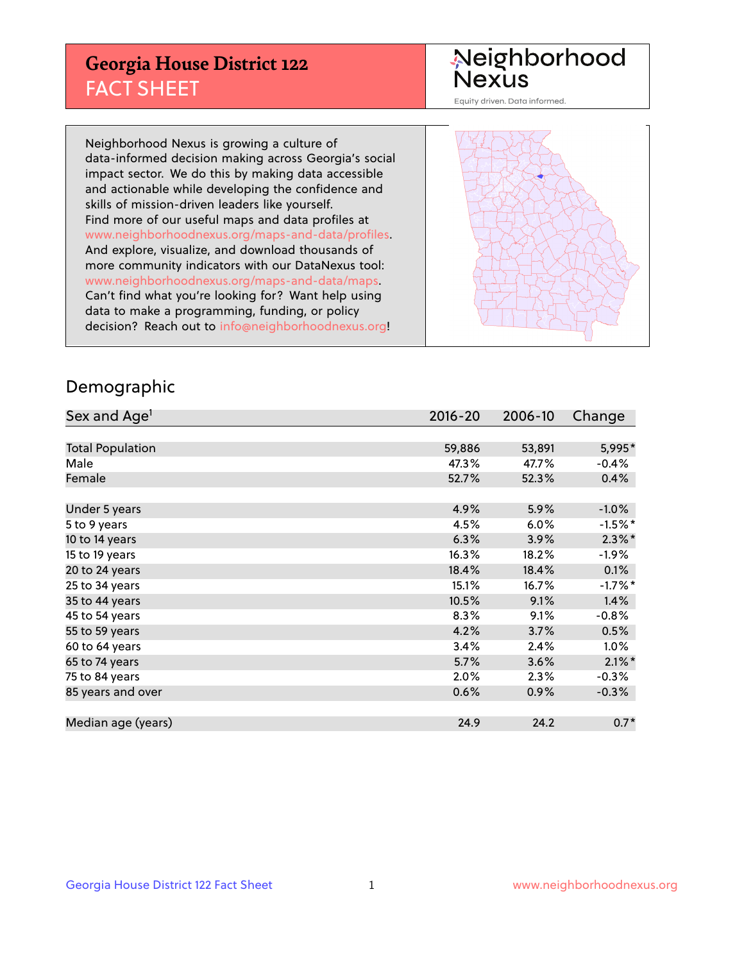## **Georgia House District 122** FACT SHEET

# Neighborhood<br>Nexus

Equity driven. Data informed.

Neighborhood Nexus is growing a culture of data-informed decision making across Georgia's social impact sector. We do this by making data accessible and actionable while developing the confidence and skills of mission-driven leaders like yourself. Find more of our useful maps and data profiles at www.neighborhoodnexus.org/maps-and-data/profiles. And explore, visualize, and download thousands of more community indicators with our DataNexus tool: www.neighborhoodnexus.org/maps-and-data/maps. Can't find what you're looking for? Want help using data to make a programming, funding, or policy decision? Reach out to [info@neighborhoodnexus.org!](mailto:info@neighborhoodnexus.org)



### Demographic

| Sex and Age <sup>1</sup> | $2016 - 20$ | 2006-10 | Change    |
|--------------------------|-------------|---------|-----------|
|                          |             |         |           |
| <b>Total Population</b>  | 59,886      | 53,891  | 5,995*    |
| Male                     | 47.3%       | 47.7%   | $-0.4%$   |
| Female                   | 52.7%       | 52.3%   | 0.4%      |
|                          |             |         |           |
| Under 5 years            | 4.9%        | 5.9%    | $-1.0%$   |
| 5 to 9 years             | 4.5%        | 6.0%    | $-1.5%$ * |
| 10 to 14 years           | 6.3%        | 3.9%    | $2.3\%$ * |
| 15 to 19 years           | 16.3%       | 18.2%   | $-1.9%$   |
| 20 to 24 years           | 18.4%       | 18.4%   | 0.1%      |
| 25 to 34 years           | 15.1%       | 16.7%   | $-1.7%$ * |
| 35 to 44 years           | 10.5%       | 9.1%    | 1.4%      |
| 45 to 54 years           | 8.3%        | 9.1%    | $-0.8%$   |
| 55 to 59 years           | 4.2%        | 3.7%    | 0.5%      |
| 60 to 64 years           | 3.4%        | 2.4%    | $1.0\%$   |
| 65 to 74 years           | 5.7%        | 3.6%    | $2.1\%$ * |
| 75 to 84 years           | 2.0%        | 2.3%    | $-0.3%$   |
| 85 years and over        | 0.6%        | 0.9%    | $-0.3%$   |
|                          |             |         |           |
| Median age (years)       | 24.9        | 24.2    | $0.7*$    |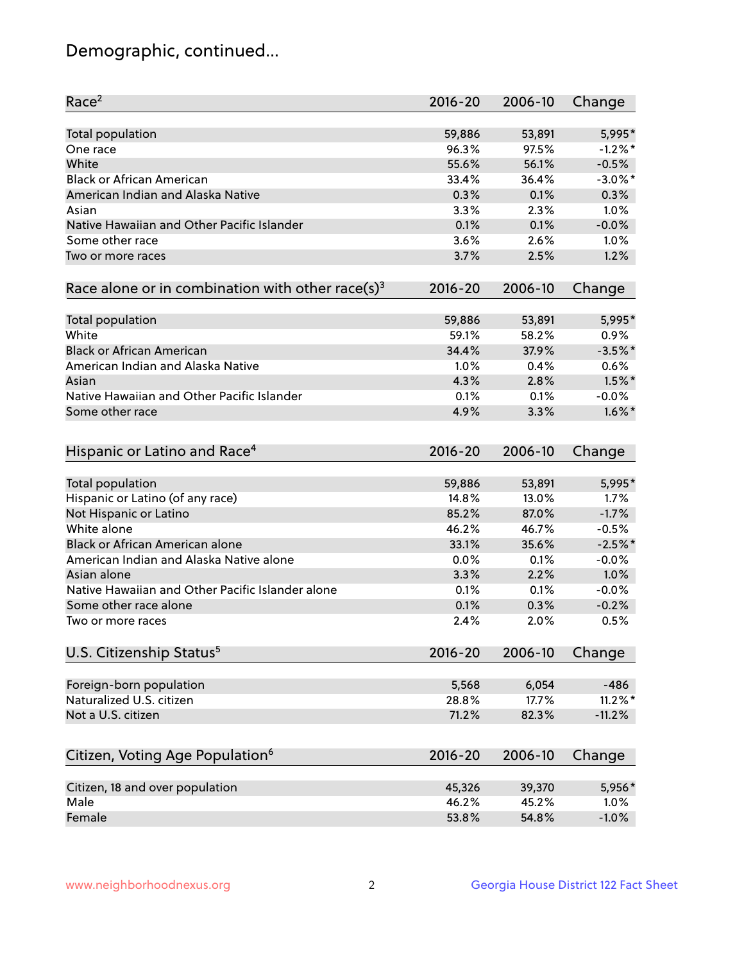## Demographic, continued...

| Race <sup>2</sup>                                            | $2016 - 20$ | 2006-10 | Change     |
|--------------------------------------------------------------|-------------|---------|------------|
| <b>Total population</b>                                      | 59,886      | 53,891  | 5,995*     |
| One race                                                     | 96.3%       | 97.5%   | $-1.2%$ *  |
| White                                                        | 55.6%       | 56.1%   | $-0.5%$    |
| <b>Black or African American</b>                             | 33.4%       | 36.4%   | $-3.0\%$ * |
| American Indian and Alaska Native                            | 0.3%        | 0.1%    | 0.3%       |
| Asian                                                        | 3.3%        | 2.3%    | 1.0%       |
| Native Hawaiian and Other Pacific Islander                   | 0.1%        | 0.1%    | $-0.0%$    |
| Some other race                                              | 3.6%        | 2.6%    | 1.0%       |
| Two or more races                                            | 3.7%        | 2.5%    | 1.2%       |
| Race alone or in combination with other race(s) <sup>3</sup> | $2016 - 20$ | 2006-10 | Change     |
| Total population                                             | 59,886      | 53,891  | 5,995*     |
| White                                                        | 59.1%       | 58.2%   | 0.9%       |
| <b>Black or African American</b>                             | 34.4%       | 37.9%   | $-3.5%$ *  |
| American Indian and Alaska Native                            | 1.0%        | 0.4%    | 0.6%       |
| Asian                                                        | 4.3%        | 2.8%    | $1.5\%$ *  |
| Native Hawaiian and Other Pacific Islander                   | 0.1%        | 0.1%    | $-0.0%$    |
| Some other race                                              | 4.9%        | 3.3%    | $1.6\%$ *  |
|                                                              |             |         |            |
| Hispanic or Latino and Race <sup>4</sup>                     | $2016 - 20$ | 2006-10 | Change     |
| <b>Total population</b>                                      | 59,886      | 53,891  | 5,995*     |
| Hispanic or Latino (of any race)                             | 14.8%       | 13.0%   | 1.7%       |
| Not Hispanic or Latino                                       | 85.2%       | 87.0%   | $-1.7%$    |
| White alone                                                  | 46.2%       | 46.7%   | $-0.5%$    |
| <b>Black or African American alone</b>                       | 33.1%       | 35.6%   | $-2.5%$ *  |
| American Indian and Alaska Native alone                      | 0.0%        | 0.1%    | $-0.0%$    |
| Asian alone                                                  | 3.3%        | 2.2%    | 1.0%       |
| Native Hawaiian and Other Pacific Islander alone             | 0.1%        | 0.1%    | $-0.0%$    |
| Some other race alone                                        | 0.1%        | 0.3%    | $-0.2%$    |
| Two or more races                                            | 2.4%        | 2.0%    | 0.5%       |
| U.S. Citizenship Status <sup>5</sup>                         | $2016 - 20$ | 2006-10 | Change     |
|                                                              |             |         |            |
| Foreign-born population                                      | 5,568       | 6,054   | $-486$     |
| Naturalized U.S. citizen                                     | 28.8%       | 17.7%   | $11.2\%$ * |
| Not a U.S. citizen                                           | 71.2%       | 82.3%   | $-11.2%$   |
| Citizen, Voting Age Population <sup>6</sup>                  | $2016 - 20$ | 2006-10 | Change     |
| Citizen, 18 and over population                              | 45,326      | 39,370  | 5,956*     |
| Male                                                         | 46.2%       | 45.2%   | 1.0%       |
| Female                                                       | 53.8%       | 54.8%   | $-1.0%$    |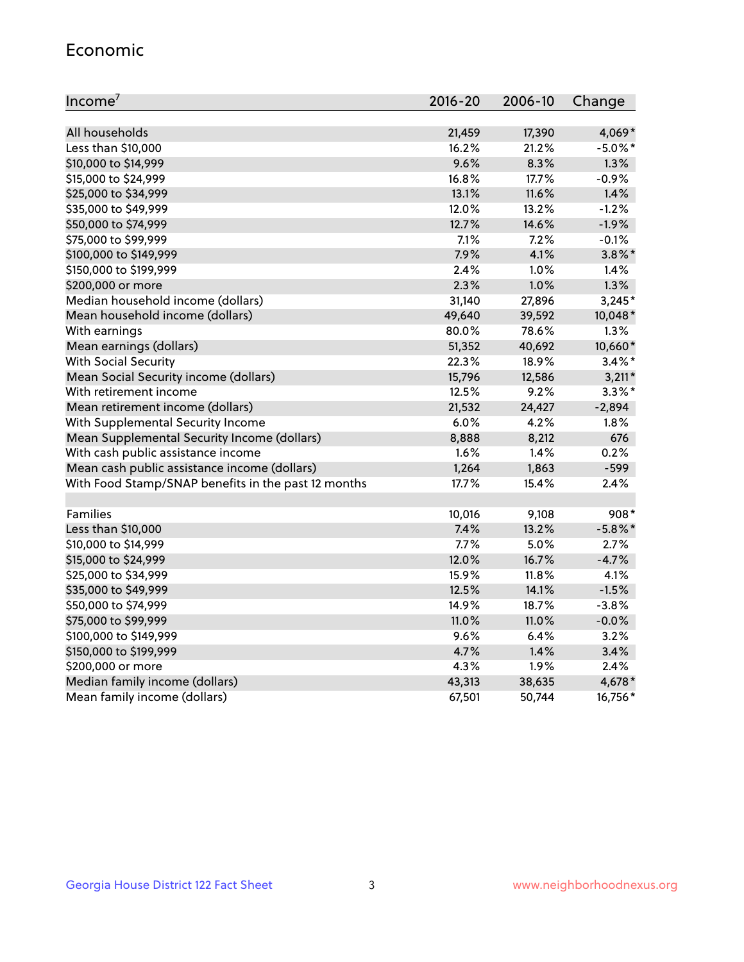#### Economic

| Income <sup>7</sup>                                 | $2016 - 20$ | 2006-10 | Change     |
|-----------------------------------------------------|-------------|---------|------------|
|                                                     |             |         |            |
| All households                                      | 21,459      | 17,390  | 4,069*     |
| Less than \$10,000                                  | 16.2%       | 21.2%   | $-5.0\%$ * |
| \$10,000 to \$14,999                                | 9.6%        | 8.3%    | 1.3%       |
| \$15,000 to \$24,999                                | 16.8%       | 17.7%   | $-0.9%$    |
| \$25,000 to \$34,999                                | 13.1%       | 11.6%   | 1.4%       |
| \$35,000 to \$49,999                                | 12.0%       | 13.2%   | $-1.2%$    |
| \$50,000 to \$74,999                                | 12.7%       | 14.6%   | $-1.9%$    |
| \$75,000 to \$99,999                                | 7.1%        | 7.2%    | $-0.1%$    |
| \$100,000 to \$149,999                              | 7.9%        | 4.1%    | $3.8\%$ *  |
| \$150,000 to \$199,999                              | 2.4%        | 1.0%    | 1.4%       |
| \$200,000 or more                                   | 2.3%        | 1.0%    | 1.3%       |
| Median household income (dollars)                   | 31,140      | 27,896  | $3,245*$   |
| Mean household income (dollars)                     | 49,640      | 39,592  | 10,048*    |
| With earnings                                       | 80.0%       | 78.6%   | 1.3%       |
| Mean earnings (dollars)                             | 51,352      | 40,692  | 10,660*    |
| <b>With Social Security</b>                         | 22.3%       | 18.9%   | $3.4\%$ *  |
| Mean Social Security income (dollars)               | 15,796      | 12,586  | $3,211*$   |
| With retirement income                              | 12.5%       | 9.2%    | $3.3\%$ *  |
| Mean retirement income (dollars)                    | 21,532      | 24,427  | $-2,894$   |
| With Supplemental Security Income                   | 6.0%        | 4.2%    | 1.8%       |
| Mean Supplemental Security Income (dollars)         | 8,888       | 8,212   | 676        |
| With cash public assistance income                  | 1.6%        | 1.4%    | 0.2%       |
| Mean cash public assistance income (dollars)        | 1,264       | 1,863   | $-599$     |
| With Food Stamp/SNAP benefits in the past 12 months | 17.7%       | 15.4%   | 2.4%       |
|                                                     |             |         |            |
| Families                                            | 10,016      | 9,108   | $908*$     |
| Less than \$10,000                                  | 7.4%        | 13.2%   | $-5.8\%$ * |
| \$10,000 to \$14,999                                | 7.7%        | 5.0%    | 2.7%       |
| \$15,000 to \$24,999                                | 12.0%       | 16.7%   | $-4.7%$    |
| \$25,000 to \$34,999                                | 15.9%       | 11.8%   | 4.1%       |
| \$35,000 to \$49,999                                | 12.5%       | 14.1%   | $-1.5%$    |
| \$50,000 to \$74,999                                | 14.9%       | 18.7%   | $-3.8%$    |
| \$75,000 to \$99,999                                | 11.0%       | 11.0%   | $-0.0%$    |
| \$100,000 to \$149,999                              | 9.6%        | 6.4%    | 3.2%       |
| \$150,000 to \$199,999                              | 4.7%        | 1.4%    | 3.4%       |
| \$200,000 or more                                   | 4.3%        | 1.9%    | 2.4%       |
| Median family income (dollars)                      | 43,313      | 38,635  | 4,678*     |
| Mean family income (dollars)                        | 67,501      | 50,744  | 16,756*    |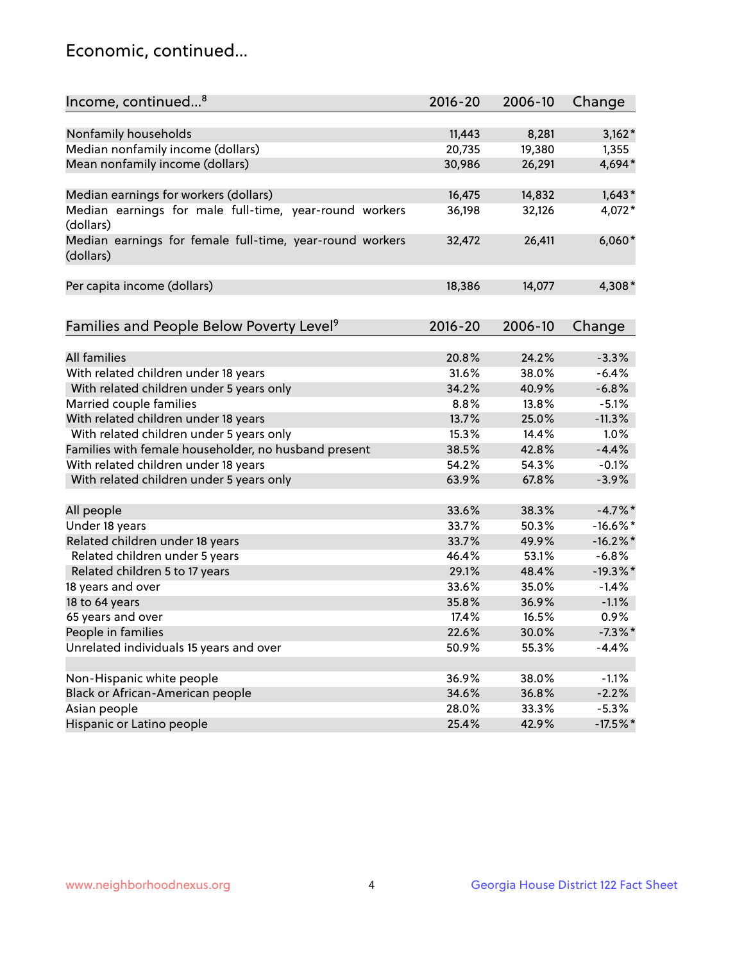## Economic, continued...

| Income, continued <sup>8</sup>                           | $2016 - 20$ | 2006-10 | Change      |
|----------------------------------------------------------|-------------|---------|-------------|
|                                                          |             |         |             |
| Nonfamily households                                     | 11,443      | 8,281   | $3,162*$    |
| Median nonfamily income (dollars)                        | 20,735      | 19,380  | 1,355       |
| Mean nonfamily income (dollars)                          | 30,986      | 26,291  | 4,694*      |
| Median earnings for workers (dollars)                    | 16,475      | 14,832  | $1,643*$    |
| Median earnings for male full-time, year-round workers   | 36,198      | 32,126  | 4,072*      |
| (dollars)                                                |             |         |             |
| Median earnings for female full-time, year-round workers | 32,472      | 26,411  | $6,060*$    |
| (dollars)                                                |             |         |             |
| Per capita income (dollars)                              | 18,386      | 14,077  | 4,308*      |
|                                                          |             |         |             |
| Families and People Below Poverty Level <sup>9</sup>     | 2016-20     | 2006-10 | Change      |
|                                                          |             |         |             |
| <b>All families</b>                                      | 20.8%       | 24.2%   | $-3.3%$     |
| With related children under 18 years                     | 31.6%       | 38.0%   | $-6.4%$     |
|                                                          | 34.2%       | 40.9%   | $-6.8%$     |
| With related children under 5 years only                 |             |         | $-5.1%$     |
| Married couple families                                  | 8.8%        | 13.8%   |             |
| With related children under 18 years                     | 13.7%       | 25.0%   | $-11.3%$    |
| With related children under 5 years only                 | 15.3%       | 14.4%   | 1.0%        |
| Families with female householder, no husband present     | 38.5%       | 42.8%   | $-4.4%$     |
| With related children under 18 years                     | 54.2%       | 54.3%   | $-0.1%$     |
| With related children under 5 years only                 | 63.9%       | 67.8%   | $-3.9%$     |
| All people                                               | 33.6%       | 38.3%   | $-4.7\%$ *  |
| Under 18 years                                           | 33.7%       | 50.3%   | $-16.6%$ *  |
| Related children under 18 years                          | 33.7%       | 49.9%   | $-16.2\%$ * |
| Related children under 5 years                           | 46.4%       | 53.1%   | $-6.8%$     |
| Related children 5 to 17 years                           | 29.1%       | 48.4%   | $-19.3\%$ * |
| 18 years and over                                        | 33.6%       | 35.0%   | $-1.4%$     |
| 18 to 64 years                                           | 35.8%       | 36.9%   | $-1.1%$     |
| 65 years and over                                        | 17.4%       | 16.5%   | 0.9%        |
| People in families                                       | 22.6%       | 30.0%   | $-7.3\%$ *  |
| Unrelated individuals 15 years and over                  | 50.9%       | 55.3%   | $-4.4%$     |
|                                                          |             |         |             |
| Non-Hispanic white people                                | 36.9%       | 38.0%   | $-1.1%$     |
| Black or African-American people                         | 34.6%       | 36.8%   | $-2.2%$     |
| Asian people                                             | 28.0%       | 33.3%   | $-5.3%$     |
| Hispanic or Latino people                                | 25.4%       | 42.9%   | $-17.5%$ *  |
|                                                          |             |         |             |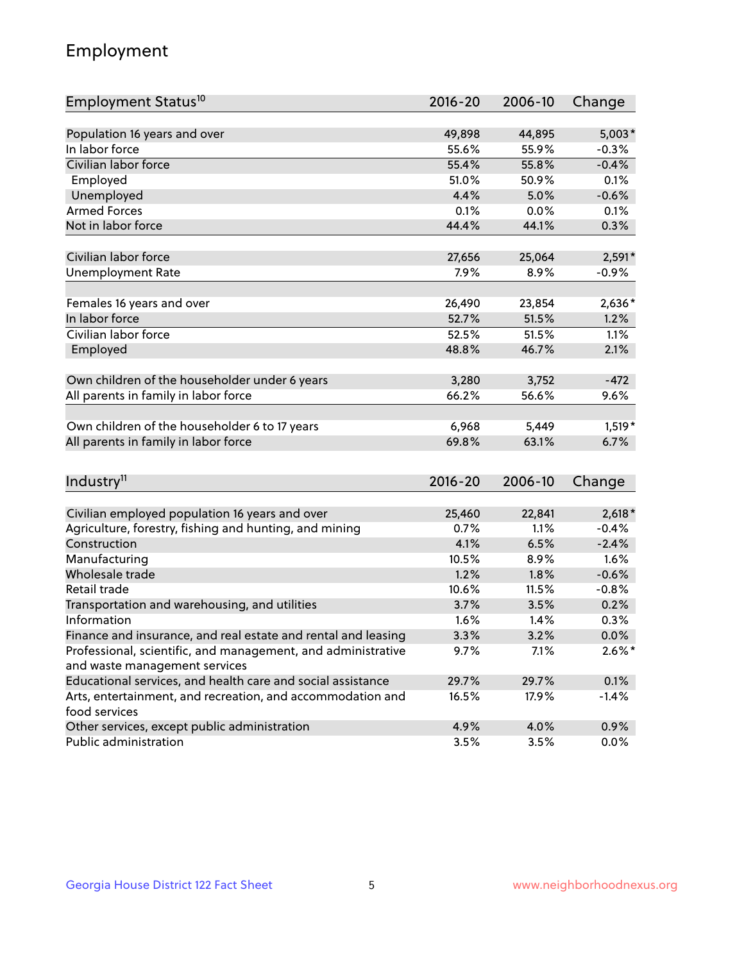## Employment

| Employment Status <sup>10</sup>                                                               | $2016 - 20$    | 2006-10      | Change       |
|-----------------------------------------------------------------------------------------------|----------------|--------------|--------------|
|                                                                                               |                |              |              |
| Population 16 years and over                                                                  | 49,898         | 44,895       | $5,003*$     |
| In labor force                                                                                | 55.6%          | 55.9%        | $-0.3%$      |
| Civilian labor force                                                                          | 55.4%          | 55.8%        | $-0.4%$      |
| Employed                                                                                      | 51.0%          | 50.9%        | 0.1%         |
| Unemployed                                                                                    | 4.4%           | 5.0%         | $-0.6%$      |
| <b>Armed Forces</b>                                                                           | 0.1%           | 0.0%         | 0.1%         |
| Not in labor force                                                                            | 44.4%          | 44.1%        | 0.3%         |
| Civilian labor force                                                                          |                |              | $2,591*$     |
|                                                                                               | 27,656<br>7.9% | 25,064       |              |
| <b>Unemployment Rate</b>                                                                      |                | 8.9%         | $-0.9%$      |
| Females 16 years and over                                                                     | 26,490         | 23,854       | 2,636*       |
| In labor force                                                                                | 52.7%          | 51.5%        | 1.2%         |
| Civilian labor force                                                                          | 52.5%          | 51.5%        | 1.1%         |
| Employed                                                                                      | 48.8%          | 46.7%        | 2.1%         |
|                                                                                               |                |              |              |
| Own children of the householder under 6 years                                                 | 3,280          | 3,752        | $-472$       |
| All parents in family in labor force                                                          | 66.2%          | 56.6%        | 9.6%         |
|                                                                                               |                |              |              |
| Own children of the householder 6 to 17 years                                                 | 6,968          | 5,449        | $1,519*$     |
| All parents in family in labor force                                                          | 69.8%          | 63.1%        | 6.7%         |
|                                                                                               |                |              |              |
| Industry <sup>11</sup>                                                                        | $2016 - 20$    | 2006-10      | Change       |
|                                                                                               |                |              |              |
| Civilian employed population 16 years and over                                                | 25,460         | 22,841       | $2,618*$     |
| Agriculture, forestry, fishing and hunting, and mining                                        | 0.7%           | 1.1%         | $-0.4%$      |
| Construction                                                                                  | 4.1%           | 6.5%         | $-2.4%$      |
| Manufacturing<br>Wholesale trade                                                              | 10.5%<br>1.2%  | 8.9%         | 1.6%         |
|                                                                                               |                | 1.8%         | $-0.6%$      |
| Retail trade                                                                                  | 10.6%          | 11.5%        | $-0.8%$      |
| Transportation and warehousing, and utilities<br>Information                                  | 3.7%           | 3.5%<br>1.4% | 0.2%<br>0.3% |
|                                                                                               | 1.6%           |              |              |
| Finance and insurance, and real estate and rental and leasing                                 | 3.3%           | 3.2%         | $0.0\%$      |
| Professional, scientific, and management, and administrative<br>and waste management services | 9.7%           | 7.1%         | $2.6\%$ *    |
| Educational services, and health care and social assistance                                   | 29.7%          | 29.7%        | 0.1%         |
| Arts, entertainment, and recreation, and accommodation and                                    | 16.5%          | 17.9%        | $-1.4%$      |
| food services                                                                                 |                |              |              |
| Other services, except public administration                                                  | 4.9%           | 4.0%         | 0.9%         |
| Public administration                                                                         | 3.5%           | 3.5%         | $0.0\%$      |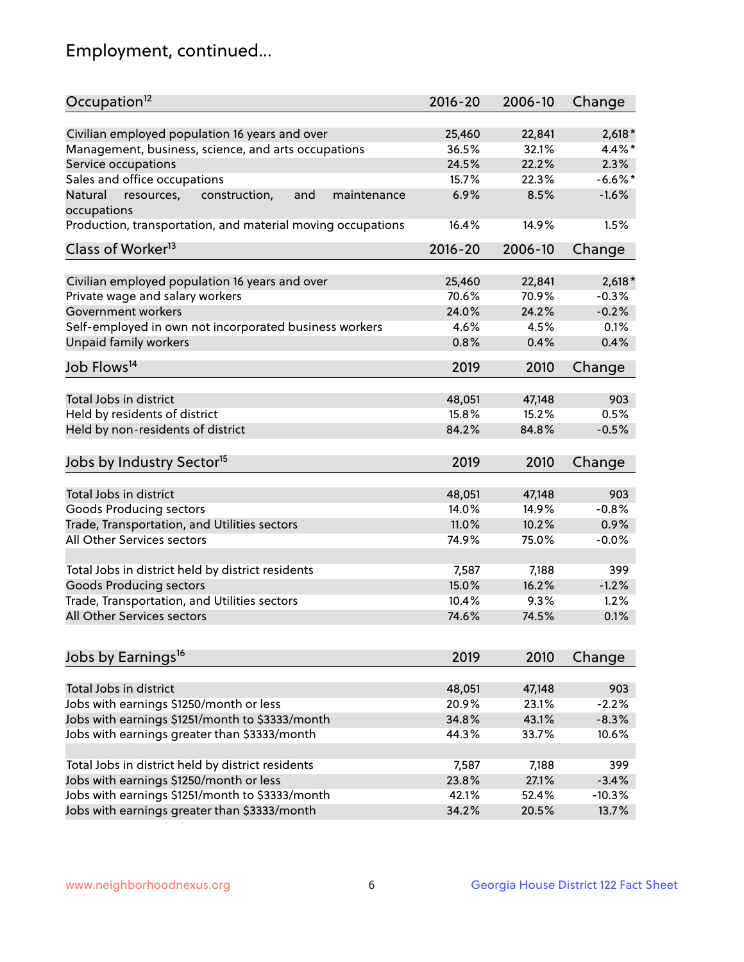## Employment, continued...

| Occupation <sup>12</sup>                                                    | $2016 - 20$ | 2006-10 | Change         |
|-----------------------------------------------------------------------------|-------------|---------|----------------|
| Civilian employed population 16 years and over                              | 25,460      | 22,841  | $2,618*$       |
| Management, business, science, and arts occupations                         | 36.5%       | 32.1%   | $4.4\%$ *      |
| Service occupations                                                         | 24.5%       | 22.2%   | 2.3%           |
| Sales and office occupations                                                | 15.7%       | 22.3%   | $-6.6%$ *      |
|                                                                             | 6.9%        |         |                |
| and<br>maintenance<br>Natural<br>resources,<br>construction,<br>occupations |             | 8.5%    | $-1.6%$        |
| Production, transportation, and material moving occupations                 | 16.4%       | 14.9%   | 1.5%           |
| Class of Worker <sup>13</sup>                                               | $2016 - 20$ | 2006-10 | Change         |
|                                                                             |             |         |                |
| Civilian employed population 16 years and over                              | 25,460      | 22,841  | $2,618*$       |
| Private wage and salary workers                                             | 70.6%       | 70.9%   | $-0.3%$        |
| Government workers                                                          | 24.0%       | 24.2%   | $-0.2%$        |
| Self-employed in own not incorporated business workers                      | 4.6%        | 4.5%    | 0.1%           |
| Unpaid family workers                                                       | 0.8%        | 0.4%    | 0.4%           |
| Job Flows <sup>14</sup>                                                     | 2019        | 2010    | Change         |
|                                                                             |             |         |                |
| Total Jobs in district                                                      | 48,051      | 47,148  | 903            |
| Held by residents of district                                               | 15.8%       | 15.2%   | 0.5%           |
| Held by non-residents of district                                           | 84.2%       | 84.8%   | $-0.5%$        |
| Jobs by Industry Sector <sup>15</sup>                                       | 2019        | 2010    | Change         |
|                                                                             |             |         |                |
| Total Jobs in district                                                      | 48,051      | 47,148  | 903            |
| Goods Producing sectors                                                     | 14.0%       | 14.9%   | $-0.8%$        |
| Trade, Transportation, and Utilities sectors                                | 11.0%       | 10.2%   | 0.9%           |
| All Other Services sectors                                                  | 74.9%       | 75.0%   | $-0.0%$        |
| Total Jobs in district held by district residents                           | 7,587       | 7,188   | 399            |
| <b>Goods Producing sectors</b>                                              | 15.0%       | 16.2%   | $-1.2%$        |
| Trade, Transportation, and Utilities sectors                                | 10.4%       | 9.3%    | 1.2%           |
| All Other Services sectors                                                  | 74.6%       | 74.5%   | 0.1%           |
|                                                                             |             |         |                |
| Jobs by Earnings <sup>16</sup>                                              | 2019        | 2010    | Change         |
|                                                                             |             |         |                |
| Total Jobs in district                                                      | 48,051      | 47,148  | 903<br>$-2.2%$ |
| Jobs with earnings \$1250/month or less                                     | 20.9%       | 23.1%   |                |
| Jobs with earnings \$1251/month to \$3333/month                             | 34.8%       | 43.1%   | $-8.3%$        |
| Jobs with earnings greater than \$3333/month                                | 44.3%       | 33.7%   | 10.6%          |
| Total Jobs in district held by district residents                           | 7,587       | 7,188   | 399            |
| Jobs with earnings \$1250/month or less                                     | 23.8%       | 27.1%   | $-3.4%$        |
| Jobs with earnings \$1251/month to \$3333/month                             | 42.1%       | 52.4%   | $-10.3%$       |
| Jobs with earnings greater than \$3333/month                                | 34.2%       | 20.5%   | 13.7%          |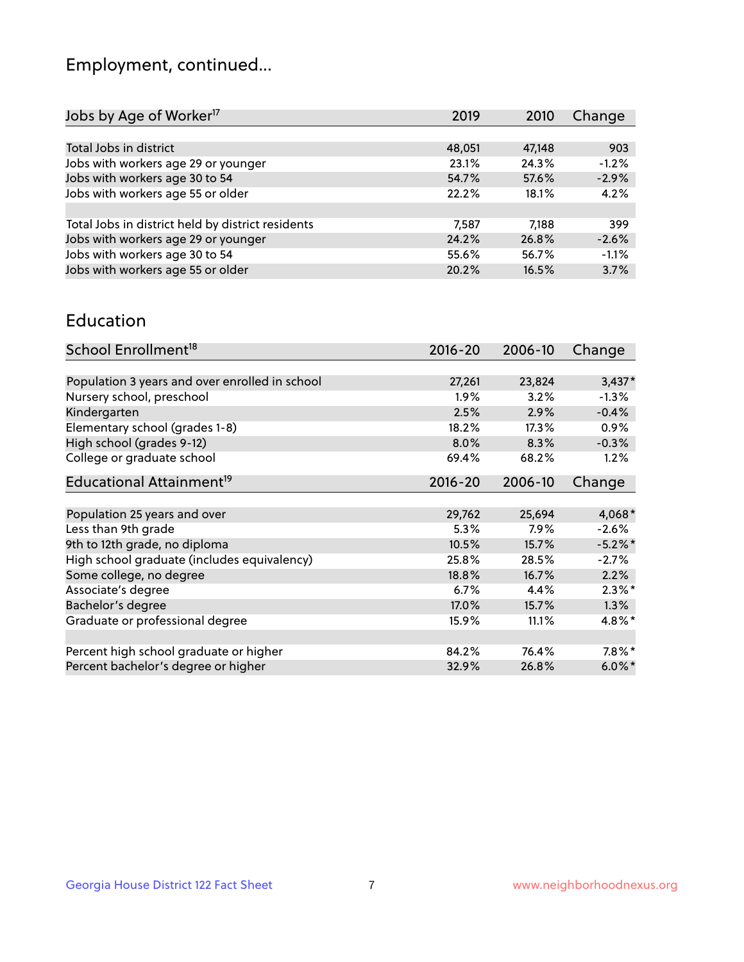## Employment, continued...

| Change  |
|---------|
|         |
| 903     |
| $-1.2%$ |
| $-2.9%$ |
| 4.2%    |
|         |
| 399     |
| $-2.6%$ |
| $-1.1%$ |
| 3.7%    |
|         |

#### Education

| School Enrollment <sup>18</sup>                | $2016 - 20$ | 2006-10  | Change    |
|------------------------------------------------|-------------|----------|-----------|
|                                                |             |          |           |
| Population 3 years and over enrolled in school | 27,261      | 23,824   | $3,437*$  |
| Nursery school, preschool                      | $1.9\%$     | 3.2%     | $-1.3%$   |
| Kindergarten                                   | 2.5%        | 2.9%     | $-0.4%$   |
| Elementary school (grades 1-8)                 | 18.2%       | $17.3\%$ | 0.9%      |
| High school (grades 9-12)                      | 8.0%        | 8.3%     | $-0.3%$   |
| College or graduate school                     | 69.4%       | 68.2%    | 1.2%      |
| Educational Attainment <sup>19</sup>           | $2016 - 20$ | 2006-10  | Change    |
|                                                |             |          |           |
| Population 25 years and over                   | 29,762      | 25,694   | 4,068*    |
| Less than 9th grade                            | 5.3%        | $7.9\%$  | $-2.6%$   |
| 9th to 12th grade, no diploma                  | 10.5%       | 15.7%    | $-5.2%$ * |
| High school graduate (includes equivalency)    | 25.8%       | 28.5%    | $-2.7%$   |
| Some college, no degree                        | 18.8%       | 16.7%    | 2.2%      |
| Associate's degree                             | 6.7%        | 4.4%     | $2.3\%$ * |
| Bachelor's degree                              | 17.0%       | 15.7%    | 1.3%      |
| Graduate or professional degree                | 15.9%       | 11.1%    | $4.8\%$ * |
|                                                |             |          |           |
| Percent high school graduate or higher         | 84.2%       | 76.4%    | $7.8\%$ * |
| Percent bachelor's degree or higher            | 32.9%       | 26.8%    | $6.0\%$ * |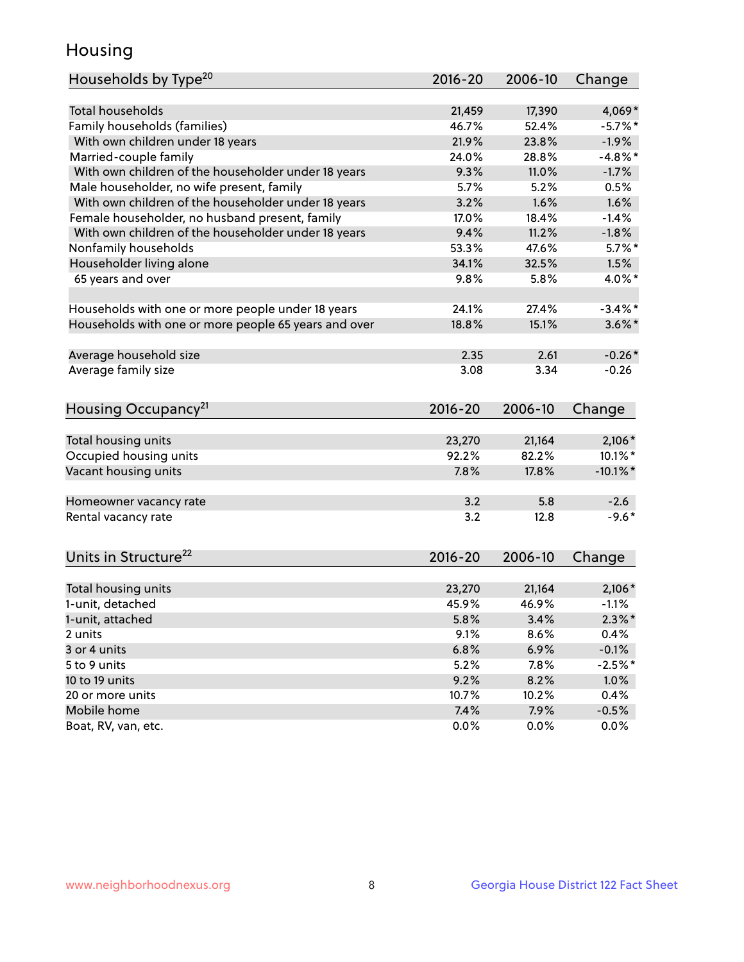## Housing

| Households by Type <sup>20</sup>                     | 2016-20 | 2006-10 | Change      |
|------------------------------------------------------|---------|---------|-------------|
|                                                      |         |         |             |
| <b>Total households</b>                              | 21,459  | 17,390  | 4,069*      |
| Family households (families)                         | 46.7%   | 52.4%   | $-5.7\%$ *  |
| With own children under 18 years                     | 21.9%   | 23.8%   | $-1.9%$     |
| Married-couple family                                | 24.0%   | 28.8%   | $-4.8\%$ *  |
| With own children of the householder under 18 years  | 9.3%    | 11.0%   | $-1.7%$     |
| Male householder, no wife present, family            | 5.7%    | 5.2%    | 0.5%        |
| With own children of the householder under 18 years  | 3.2%    | 1.6%    | 1.6%        |
| Female householder, no husband present, family       | 17.0%   | 18.4%   | $-1.4%$     |
| With own children of the householder under 18 years  | 9.4%    | 11.2%   | $-1.8%$     |
| Nonfamily households                                 | 53.3%   | 47.6%   | $5.7\%$ *   |
| Householder living alone                             | 34.1%   | 32.5%   | 1.5%        |
| 65 years and over                                    | 9.8%    | 5.8%    | 4.0%*       |
|                                                      |         |         |             |
| Households with one or more people under 18 years    | 24.1%   | 27.4%   | $-3.4\%$ *  |
| Households with one or more people 65 years and over | 18.8%   | 15.1%   | $3.6\%$ *   |
|                                                      |         |         |             |
| Average household size                               | 2.35    | 2.61    | $-0.26*$    |
| Average family size                                  | 3.08    | 3.34    | $-0.26$     |
|                                                      |         |         |             |
| Housing Occupancy <sup>21</sup>                      | 2016-20 | 2006-10 | Change      |
|                                                      |         |         |             |
| Total housing units                                  | 23,270  | 21,164  | $2,106*$    |
| Occupied housing units                               | 92.2%   | 82.2%   | 10.1%*      |
| Vacant housing units                                 | 7.8%    | 17.8%   | $-10.1\%$ * |
| Homeowner vacancy rate                               | 3.2     | 5.8     | $-2.6$      |
| Rental vacancy rate                                  | 3.2     | 12.8    | $-9.6*$     |
|                                                      |         |         |             |
| Units in Structure <sup>22</sup>                     | 2016-20 | 2006-10 | Change      |
|                                                      |         |         |             |
| Total housing units                                  | 23,270  | 21,164  | $2,106*$    |
| 1-unit, detached                                     | 45.9%   | 46.9%   | $-1.1%$     |
| 1-unit, attached                                     | 5.8%    | 3.4%    | $2.3\%$ *   |
| 2 units                                              | 9.1%    | 8.6%    | 0.4%        |
| 3 or 4 units                                         | 6.8%    | 6.9%    | $-0.1%$     |
| 5 to 9 units                                         | 5.2%    | 7.8%    | $-2.5%$ *   |
| 10 to 19 units                                       | 9.2%    | 8.2%    | 1.0%        |
| 20 or more units                                     | 10.7%   | 10.2%   | 0.4%        |
| Mobile home                                          | 7.4%    | 7.9%    | $-0.5%$     |
| Boat, RV, van, etc.                                  | 0.0%    | 0.0%    | 0.0%        |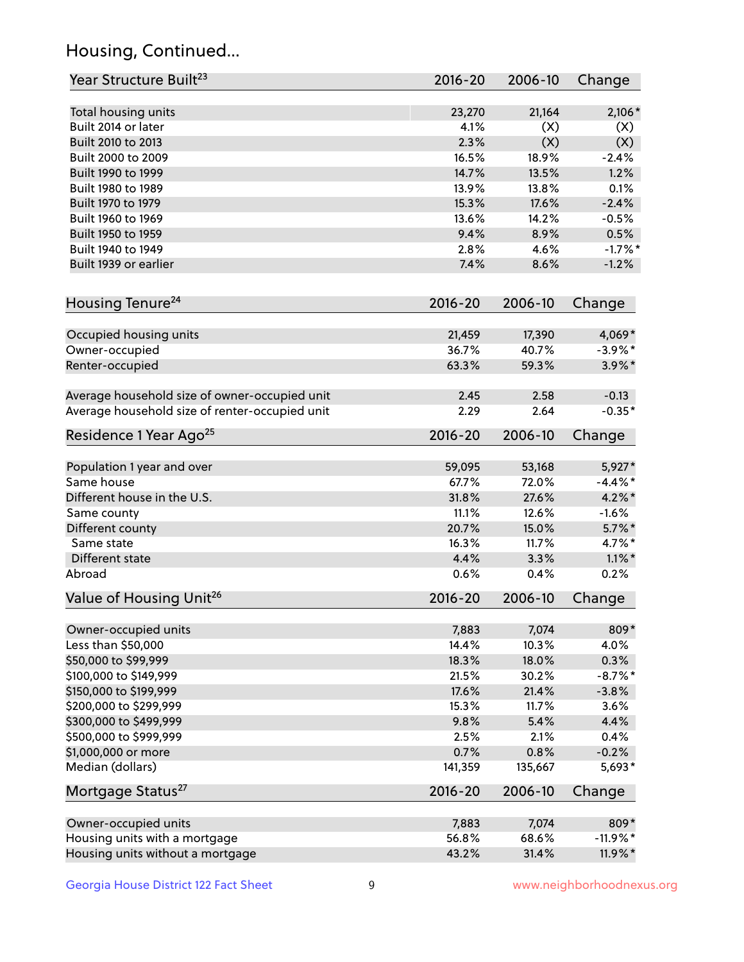## Housing, Continued...

| Year Structure Built <sup>23</sup>             | 2016-20     | 2006-10 | Change      |
|------------------------------------------------|-------------|---------|-------------|
| Total housing units                            | 23,270      | 21,164  | $2,106*$    |
| Built 2014 or later                            | 4.1%        | (X)     | (X)         |
| Built 2010 to 2013                             | 2.3%        | (X)     | (X)         |
| Built 2000 to 2009                             | 16.5%       | 18.9%   | $-2.4%$     |
| Built 1990 to 1999                             | 14.7%       | 13.5%   | 1.2%        |
| Built 1980 to 1989                             | 13.9%       | 13.8%   | 0.1%        |
| Built 1970 to 1979                             | 15.3%       | 17.6%   | $-2.4%$     |
| Built 1960 to 1969                             | 13.6%       | 14.2%   | $-0.5%$     |
| Built 1950 to 1959                             | 9.4%        | 8.9%    | 0.5%        |
| Built 1940 to 1949                             | 2.8%        | 4.6%    | $-1.7%$ *   |
| Built 1939 or earlier                          | 7.4%        | 8.6%    | $-1.2%$     |
| Housing Tenure <sup>24</sup>                   | 2016-20     | 2006-10 | Change      |
|                                                |             |         |             |
| Occupied housing units                         | 21,459      | 17,390  | 4,069*      |
| Owner-occupied                                 | 36.7%       | 40.7%   | $-3.9\%$ *  |
| Renter-occupied                                | 63.3%       | 59.3%   | $3.9\%$ *   |
| Average household size of owner-occupied unit  | 2.45        | 2.58    | $-0.13$     |
| Average household size of renter-occupied unit | 2.29        | 2.64    | $-0.35*$    |
| Residence 1 Year Ago <sup>25</sup>             | $2016 - 20$ | 2006-10 | Change      |
| Population 1 year and over                     | 59,095      | 53,168  | 5,927*      |
| Same house                                     | 67.7%       | 72.0%   | $-4.4\%$ *  |
| Different house in the U.S.                    | 31.8%       | 27.6%   | $4.2\%$ *   |
| Same county                                    | 11.1%       | 12.6%   | $-1.6%$     |
| Different county                               | 20.7%       | 15.0%   | $5.7\%$ *   |
| Same state                                     | 16.3%       | 11.7%   | 4.7%*       |
| Different state                                | 4.4%        | 3.3%    | $1.1\%$ *   |
| Abroad                                         | 0.6%        | 0.4%    | 0.2%        |
| Value of Housing Unit <sup>26</sup>            | $2016 - 20$ | 2006-10 | Change      |
|                                                |             |         |             |
| Owner-occupied units                           | 7,883       | 7,074   | 809*        |
| Less than \$50,000                             | 14.4%       | 10.3%   | 4.0%        |
| \$50,000 to \$99,999                           | 18.3%       | 18.0%   | 0.3%        |
| \$100,000 to \$149,999                         | 21.5%       | 30.2%   | $-8.7\%$ *  |
| \$150,000 to \$199,999                         | 17.6%       | 21.4%   | $-3.8%$     |
| \$200,000 to \$299,999                         | 15.3%       | 11.7%   | 3.6%        |
| \$300,000 to \$499,999                         | 9.8%        | 5.4%    | 4.4%        |
| \$500,000 to \$999,999                         | 2.5%        | 2.1%    | 0.4%        |
| \$1,000,000 or more                            | 0.7%        | 0.8%    | $-0.2%$     |
| Median (dollars)                               | 141,359     | 135,667 | 5,693*      |
| Mortgage Status <sup>27</sup>                  | $2016 - 20$ | 2006-10 | Change      |
| Owner-occupied units                           | 7,883       | 7,074   | 809*        |
| Housing units with a mortgage                  | 56.8%       | 68.6%   | $-11.9\%$ * |
| Housing units without a mortgage               | 43.2%       | 31.4%   | 11.9%*      |
|                                                |             |         |             |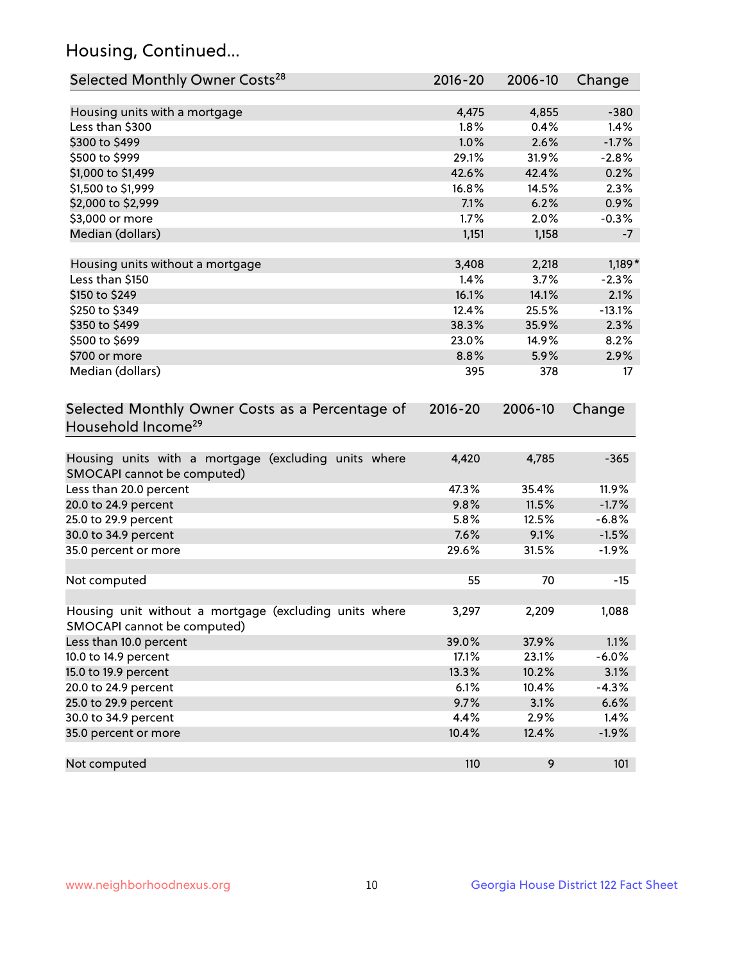## Housing, Continued...

| Selected Monthly Owner Costs <sup>28</sup>                                            | 2016-20     | 2006-10       | Change   |
|---------------------------------------------------------------------------------------|-------------|---------------|----------|
| Housing units with a mortgage                                                         | 4,475       |               | $-380$   |
| Less than \$300                                                                       | 1.8%        | 4,855<br>0.4% | 1.4%     |
| \$300 to \$499                                                                        | 1.0%        | 2.6%          | $-1.7%$  |
| \$500 to \$999                                                                        | 29.1%       | 31.9%         | $-2.8%$  |
| \$1,000 to \$1,499                                                                    | 42.6%       | 42.4%         | 0.2%     |
| \$1,500 to \$1,999                                                                    | 16.8%       | 14.5%         | 2.3%     |
| \$2,000 to \$2,999                                                                    | 7.1%        | 6.2%          | 0.9%     |
| \$3,000 or more                                                                       | 1.7%        | 2.0%          | $-0.3%$  |
| Median (dollars)                                                                      | 1,151       | 1,158         | $-7$     |
|                                                                                       |             |               |          |
| Housing units without a mortgage                                                      | 3,408       | 2,218         | $1,189*$ |
| Less than \$150                                                                       | 1.4%        | 3.7%          | $-2.3%$  |
| \$150 to \$249                                                                        | 16.1%       | 14.1%         | 2.1%     |
| \$250 to \$349                                                                        | 12.4%       | 25.5%         | $-13.1%$ |
| \$350 to \$499                                                                        | 38.3%       | 35.9%         | 2.3%     |
| \$500 to \$699                                                                        | 23.0%       | 14.9%         | 8.2%     |
| \$700 or more                                                                         | 8.8%        | 5.9%          | 2.9%     |
| Median (dollars)                                                                      | 395         | 378           | 17       |
| Selected Monthly Owner Costs as a Percentage of<br>Household Income <sup>29</sup>     | $2016 - 20$ | 2006-10       | Change   |
| Housing units with a mortgage (excluding units where<br>SMOCAPI cannot be computed)   | 4,420       | 4,785         | $-365$   |
| Less than 20.0 percent                                                                | 47.3%       | 35.4%         | 11.9%    |
| 20.0 to 24.9 percent                                                                  | 9.8%        | 11.5%         | $-1.7%$  |
| 25.0 to 29.9 percent                                                                  | 5.8%        | 12.5%         | $-6.8%$  |
| 30.0 to 34.9 percent                                                                  | 7.6%        | 9.1%          | $-1.5%$  |
| 35.0 percent or more                                                                  | 29.6%       | 31.5%         | $-1.9%$  |
| Not computed                                                                          | 55          | 70            | $-15$    |
| Housing unit without a mortgage (excluding units where<br>SMOCAPI cannot be computed) | 3,297       | 2,209         | 1,088    |
| Less than 10.0 percent                                                                | 39.0%       | 37.9%         | 1.1%     |
| 10.0 to 14.9 percent                                                                  | 17.1%       | 23.1%         | $-6.0%$  |
| 15.0 to 19.9 percent                                                                  | 13.3%       | 10.2%         | 3.1%     |
| 20.0 to 24.9 percent                                                                  | 6.1%        | 10.4%         | $-4.3%$  |
| 25.0 to 29.9 percent                                                                  | 9.7%        | 3.1%          | 6.6%     |
| 30.0 to 34.9 percent                                                                  | 4.4%        | 2.9%          | 1.4%     |
| 35.0 percent or more                                                                  | 10.4%       | 12.4%         | $-1.9%$  |
| Not computed                                                                          | 110         | 9             | 101      |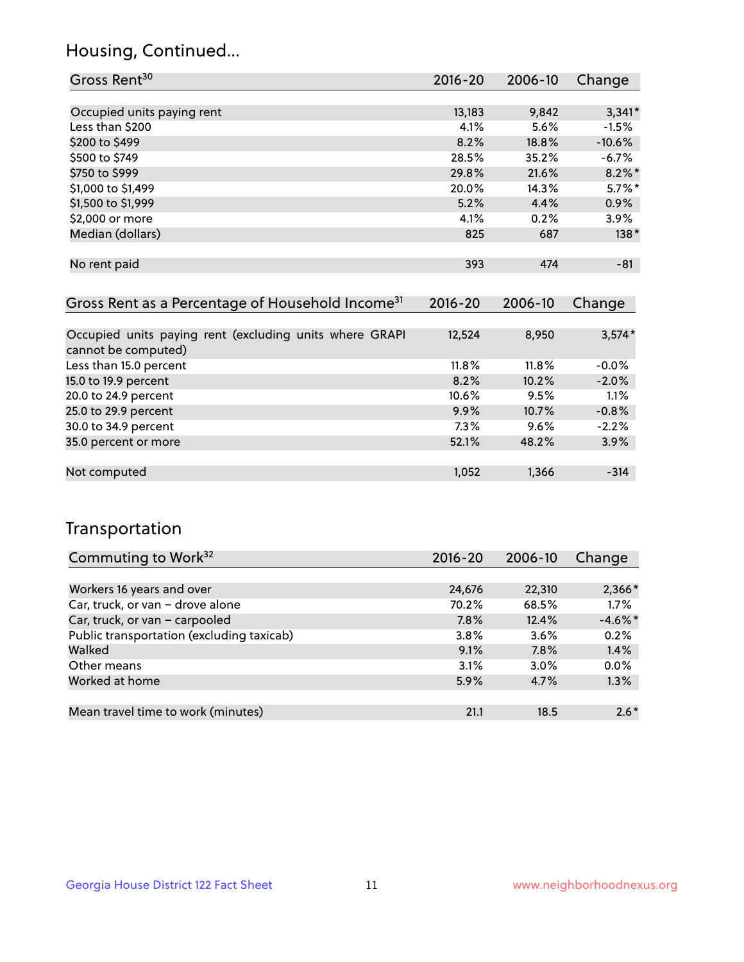## Housing, Continued...

| Gross Rent <sup>30</sup>   | 2016-20 | 2006-10 | Change    |
|----------------------------|---------|---------|-----------|
|                            |         |         |           |
| Occupied units paying rent | 13,183  | 9,842   | $3,341*$  |
| Less than \$200            | 4.1%    | 5.6%    | $-1.5%$   |
| \$200 to \$499             | 8.2%    | 18.8%   | $-10.6%$  |
| \$500 to \$749             | 28.5%   | 35.2%   | $-6.7%$   |
| \$750 to \$999             | 29.8%   | 21.6%   | $8.2\%$ * |
| \$1,000 to \$1,499         | 20.0%   | 14.3%   | $5.7\%$ * |
| \$1,500 to \$1,999         | 5.2%    | 4.4%    | 0.9%      |
| \$2,000 or more            | 4.1%    | 0.2%    | 3.9%      |
| Median (dollars)           | 825     | 687     | $138*$    |
|                            |         |         |           |
| No rent paid               | 393     | 474     | $-81$     |
|                            |         |         |           |

| Gross Rent as a Percentage of Household Income <sup>31</sup>                   | $2016 - 20$ | 2006-10 | Change   |
|--------------------------------------------------------------------------------|-------------|---------|----------|
|                                                                                |             |         |          |
| Occupied units paying rent (excluding units where GRAPI<br>cannot be computed) | 12,524      | 8,950   | $3,574*$ |
| Less than 15.0 percent                                                         | $11.8\%$    | 11.8%   | $-0.0%$  |
| 15.0 to 19.9 percent                                                           | 8.2%        | 10.2%   | $-2.0%$  |
| 20.0 to 24.9 percent                                                           | 10.6%       | 9.5%    | 1.1%     |
| 25.0 to 29.9 percent                                                           | 9.9%        | 10.7%   | $-0.8%$  |
| 30.0 to 34.9 percent                                                           | 7.3%        | 9.6%    | $-2.2%$  |
| 35.0 percent or more                                                           | 52.1%       | 48.2%   | 3.9%     |
|                                                                                |             |         |          |
| Not computed                                                                   | 1.052       | 1,366   | $-314$   |

## Transportation

| Commuting to Work <sup>32</sup>           | 2016-20 | 2006-10 | Change     |
|-------------------------------------------|---------|---------|------------|
|                                           |         |         |            |
| Workers 16 years and over                 | 24,676  | 22,310  | $2,366*$   |
| Car, truck, or van - drove alone          | 70.2%   | 68.5%   | 1.7%       |
| Car, truck, or van - carpooled            | 7.8%    | 12.4%   | $-4.6\%$ * |
| Public transportation (excluding taxicab) | 3.8%    | 3.6%    | 0.2%       |
| Walked                                    | 9.1%    | 7.8%    | 1.4%       |
| Other means                               | 3.1%    | $3.0\%$ | 0.0%       |
| Worked at home                            | 5.9%    | 4.7%    | 1.3%       |
|                                           |         |         |            |
| Mean travel time to work (minutes)        | 21.1    | 18.5    | $2.6*$     |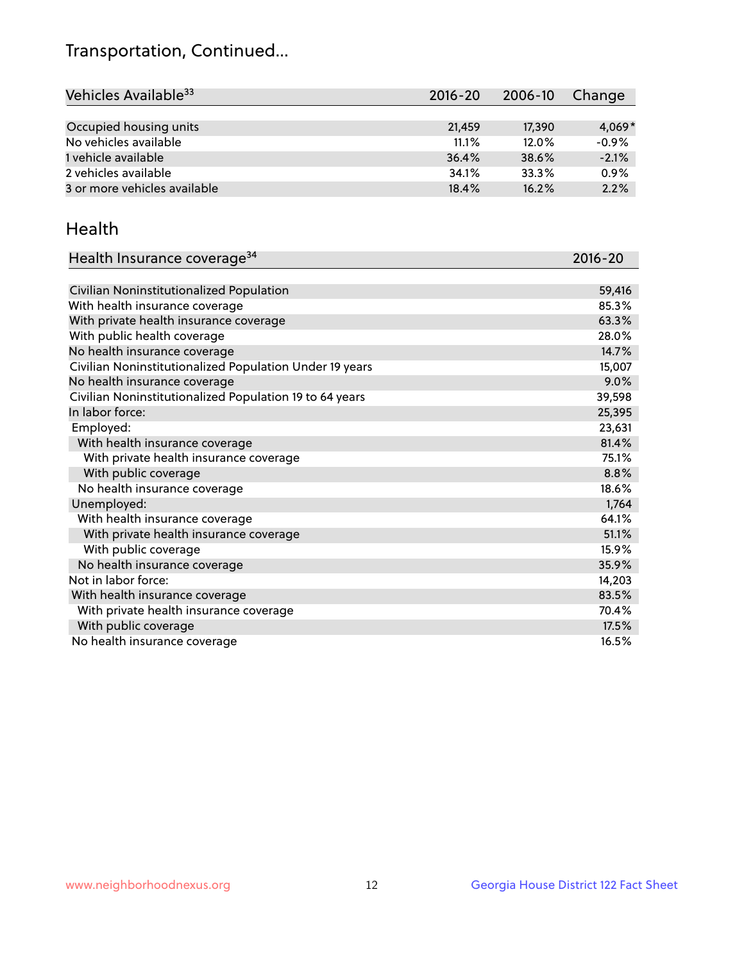## Transportation, Continued...

| Vehicles Available <sup>33</sup> | $2016 - 20$ | 2006-10 | Change   |
|----------------------------------|-------------|---------|----------|
|                                  |             |         |          |
| Occupied housing units           | 21.459      | 17,390  | $4.069*$ |
| No vehicles available            | 11.1%       | 12.0%   | $-0.9%$  |
| 1 vehicle available              | 36.4%       | 38.6%   | $-2.1%$  |
| 2 vehicles available             | 34.1%       | 33.3%   | 0.9%     |
| 3 or more vehicles available     | 18.4%       | 16.2%   | 2.2%     |

#### Health

| Health Insurance coverage <sup>34</sup>                 | 2016-20 |
|---------------------------------------------------------|---------|
|                                                         |         |
| Civilian Noninstitutionalized Population                | 59,416  |
| With health insurance coverage                          | 85.3%   |
| With private health insurance coverage                  | 63.3%   |
| With public health coverage                             | 28.0%   |
| No health insurance coverage                            | 14.7%   |
| Civilian Noninstitutionalized Population Under 19 years | 15,007  |
| No health insurance coverage                            | 9.0%    |
| Civilian Noninstitutionalized Population 19 to 64 years | 39,598  |
| In labor force:                                         | 25,395  |
| Employed:                                               | 23,631  |
| With health insurance coverage                          | 81.4%   |
| With private health insurance coverage                  | 75.1%   |
| With public coverage                                    | 8.8%    |
| No health insurance coverage                            | 18.6%   |
| Unemployed:                                             | 1,764   |
| With health insurance coverage                          | 64.1%   |
| With private health insurance coverage                  | 51.1%   |
| With public coverage                                    | 15.9%   |
| No health insurance coverage                            | 35.9%   |
| Not in labor force:                                     | 14,203  |
| With health insurance coverage                          | 83.5%   |
| With private health insurance coverage                  | 70.4%   |
| With public coverage                                    | 17.5%   |
| No health insurance coverage                            | 16.5%   |